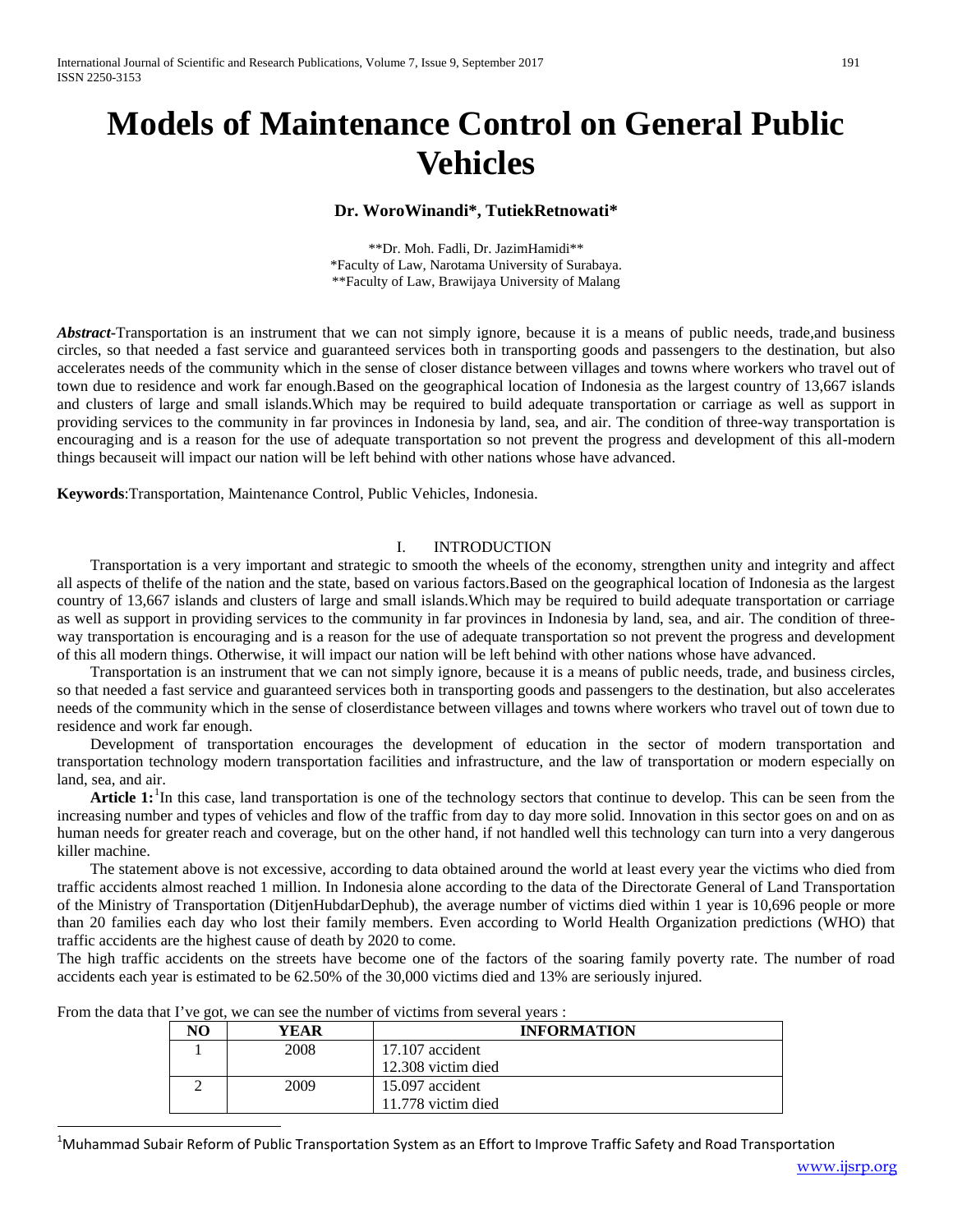# **Models of Maintenance Control on General Public Vehicles**

## **Dr. WoroWinandi\*, TutiekRetnowati\***

\*\*Dr. Moh. Fadli, Dr. JazimHamidi\*\* \*Faculty of Law, Narotama University of Surabaya. \*\*Faculty of Law, Brawijaya University of Malang

*Abstract***-**Transportation is an instrument that we can not simply ignore, because it is a means of public needs, trade,and business circles, so that needed a fast service and guaranteed services both in transporting goods and passengers to the destination, but also accelerates needs of the community which in the sense of closer distance between villages and towns where workers who travel out of town due to residence and work far enough.Based on the geographical location of Indonesia as the largest country of 13,667 islands and clusters of large and small islands.Which may be required to build adequate transportation or carriage as well as support in providing services to the community in far provinces in Indonesia by land, sea, and air. The condition of three-way transportation is encouraging and is a reason for the use of adequate transportation so not prevent the progress and development of this all-modern things becauseit will impact our nation will be left behind with other nations whose have advanced.

**Keywords**:Transportation, Maintenance Control, Public Vehicles, Indonesia.

#### I. INTRODUCTION

Transportation is a very important and strategic to smooth the wheels of the economy, strengthen unity and integrity and affect all aspects of thelife of the nation and the state, based on various factors.Based on the geographical location of Indonesia as the largest country of 13,667 islands and clusters of large and small islands.Which may be required to build adequate transportation or carriage as well as support in providing services to the community in far provinces in Indonesia by land, sea, and air. The condition of threeway transportation is encouraging and is a reason for the use of adequate transportation so not prevent the progress and development of this all modern things. Otherwise, it will impact our nation will be left behind with other nations whose have advanced.

Transportation is an instrument that we can not simply ignore, because it is a means of public needs, trade, and business circles, so that needed a fast service and guaranteed services both in transporting goods and passengers to the destination, but also accelerates needs of the community which in the sense of closerdistance between villages and towns where workers who travel out of town due to residence and work far enough.

Development of transportation encourages the development of education in the sector of modern transportation and transportation technology modern transportation facilities and infrastructure, and the law of transportation or modern especially on land, sea, and air.

Article [1](#page-0-0):<sup>1</sup>In this case, land transportation is one of the technology sectors that continue to develop. This can be seen from the increasing number and types of vehicles and flow of the traffic from day to day more solid. Innovation in this sector goes on and on as human needs for greater reach and coverage, but on the other hand, if not handled well this technology can turn into a very dangerous killer machine.

The statement above is not excessive, according to data obtained around the world at least every year the victims who died from traffic accidents almost reached 1 million. In Indonesia alone according to the data of the Directorate General of Land Transportation of the Ministry of Transportation (DitjenHubdarDephub), the average number of victims died within 1 year is 10,696 people or more than 20 families each day who lost their family members. Even according to World Health Organization predictions (WHO) that traffic accidents are the highest cause of death by 2020 to come.

The high traffic accidents on the streets have become one of the factors of the soaring family poverty rate. The number of road accidents each year is estimated to be 62.50% of the 30,000 victims died and 13% are seriously injured.

| ີ<br>NO | YEAR | <b>INFORMATION</b> |
|---------|------|--------------------|
|         | 2008 | $17.107$ accident  |
|         |      | 12.308 victim died |
|         | 2009 | 15.097 accident    |
|         |      | 11.778 victim died |

From the data that I've got, we can see the number of victims from several years :

<span id="page-0-0"></span> $\frac{1}{1}$  $^1$ Muhammad Subair Reform of Public Transportation System as an Effort to Improve Traffic Safety and Road Transportation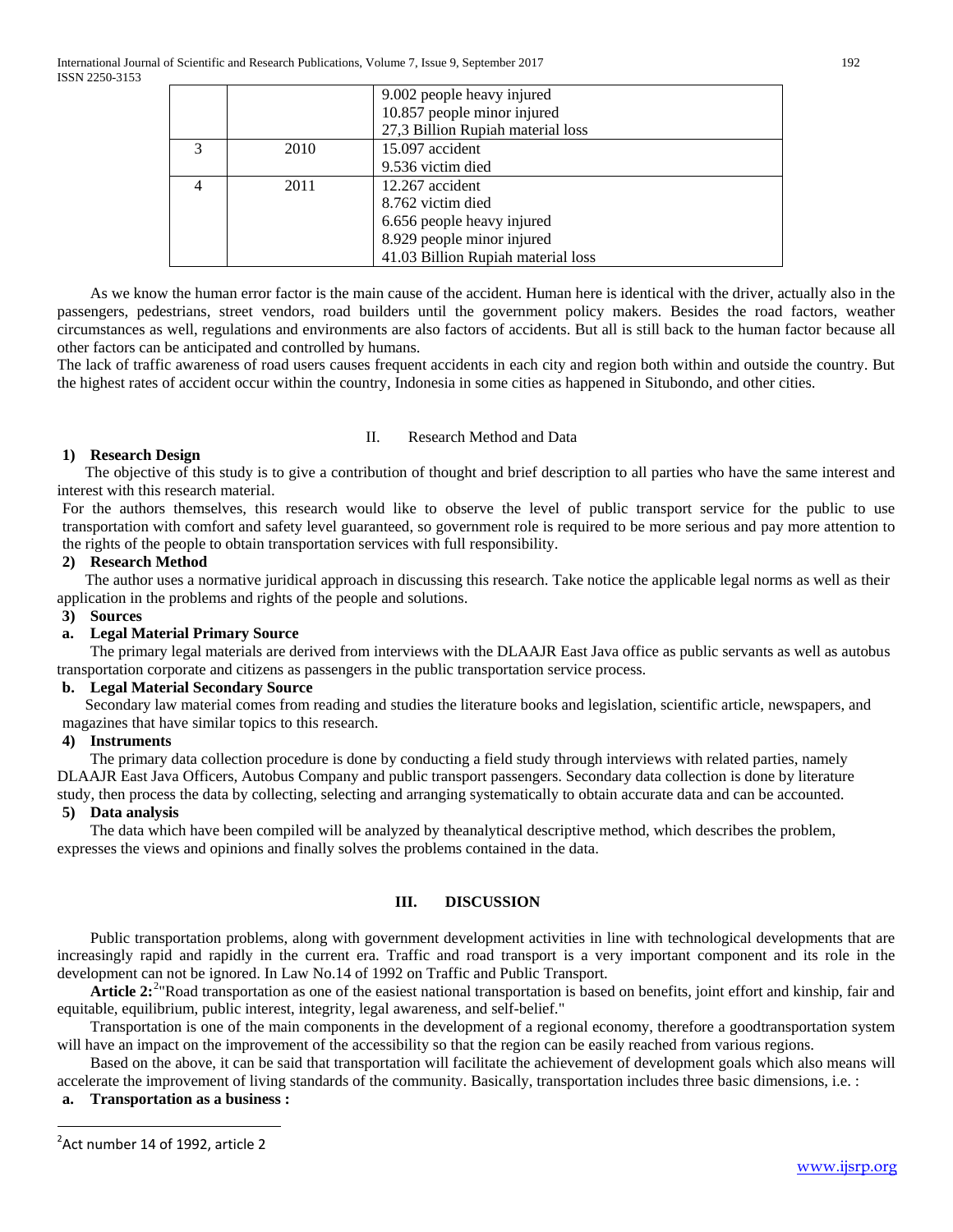|   |      | 9.002 people heavy injured         |
|---|------|------------------------------------|
|   |      | 10.857 people minor injured        |
|   |      | 27,3 Billion Rupiah material loss  |
| 3 | 2010 | 15.097 accident                    |
|   |      | 9.536 victim died                  |
|   | 2011 | 12.267 accident                    |
|   |      | 8.762 victim died                  |
|   |      | 6.656 people heavy injured         |
|   |      | 8.929 people minor injured         |
|   |      | 41.03 Billion Rupiah material loss |

As we know the human error factor is the main cause of the accident. Human here is identical with the driver, actually also in the passengers, pedestrians, street vendors, road builders until the government policy makers. Besides the road factors, weather circumstances as well, regulations and environments are also factors of accidents. But all is still back to the human factor because all other factors can be anticipated and controlled by humans.

The lack of traffic awareness of road users causes frequent accidents in each city and region both within and outside the country. But the highest rates of accident occur within the country, Indonesia in some cities as happened in Situbondo, and other cities.

## II. Research Method and Data

## **1) Research Design**

The objective of this study is to give a contribution of thought and brief description to all parties who have the same interest and interest with this research material.

For the authors themselves, this research would like to observe the level of public transport service for the public to use transportation with comfort and safety level guaranteed, so government role is required to be more serious and pay more attention to the rights of the people to obtain transportation services with full responsibility.

## **2) Research Method**

The author uses a normative juridical approach in discussing this research. Take notice the applicable legal norms as well as their application in the problems and rights of the people and solutions.

## **3) Sources**

## **a. Legal Material Primary Source**

The primary legal materials are derived from interviews with the DLAAJR East Java office as public servants as well as autobus transportation corporate and citizens as passengers in the public transportation service process.

## **b. Legal Material Secondary Source**

Secondary law material comes from reading and studies the literature books and legislation, scientific article, newspapers, and magazines that have similar topics to this research.

## **4) Instruments**

The primary data collection procedure is done by conducting a field study through interviews with related parties, namely DLAAJR East Java Officers, Autobus Company and public transport passengers. Secondary data collection is done by literature study, then process the data by collecting, selecting and arranging systematically to obtain accurate data and can be accounted.

## **5) Data analysis**

The data which have been compiled will be analyzed by theanalytical descriptive method, which describes the problem, expresses the views and opinions and finally solves the problems contained in the data.

## **III. DISCUSSION**

Public transportation problems, along with government development activities in line with technological developments that are increasingly rapid and rapidly in the current era. Traffic and road transport is a very important component and its role in the development can not be ignored. In Law No.14 of 1992 on Traffic and Public Transport.

Article [2](#page-0-0):<sup>2</sup> Road transportation as one of the easiest national transportation is based on benefits, joint effort and kinship, fair and equitable, equilibrium, public interest, integrity, legal awareness, and self-belief."

Transportation is one of the main components in the development of a regional economy, therefore a goodtransportation system will have an impact on the improvement of the accessibility so that the region can be easily reached from various regions.

Based on the above, it can be said that transportation will facilitate the achievement of development goals which also means will accelerate the improvement of living standards of the community. Basically, transportation includes three basic dimensions, i.e. :

## **a. Transportation as a business :**

<span id="page-1-0"></span> $\frac{1}{2}$  $2$ Act number 14 of 1992, article 2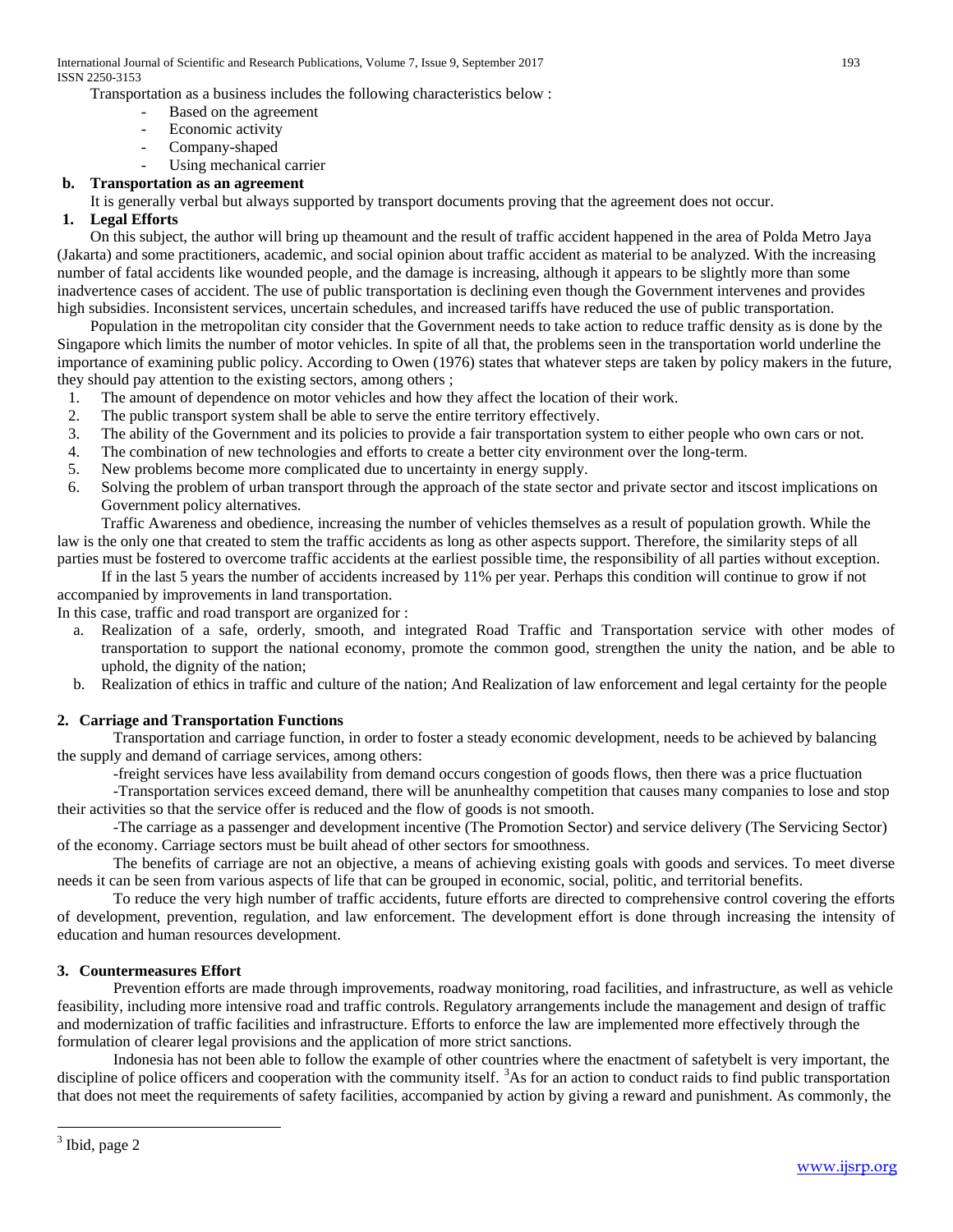International Journal of Scientific and Research Publications, Volume 7, Issue 9, September 2017 193 ISSN 2250-3153

Transportation as a business includes the following characteristics below :

- Based on the agreement
- Economic activity
- Company-shaped
- Using mechanical carrier

## **b. Transportation as an agreement**

It is generally verbal but always supported by transport documents proving that the agreement does not occur.

## **1. Legal Efforts**

On this subject, the author will bring up theamount and the result of traffic accident happened in the area of Polda Metro Jaya (Jakarta) and some practitioners, academic, and social opinion about traffic accident as material to be analyzed. With the increasing number of fatal accidents like wounded people, and the damage is increasing, although it appears to be slightly more than some inadvertence cases of accident. The use of public transportation is declining even though the Government intervenes and provides high subsidies. Inconsistent services, uncertain schedules, and increased tariffs have reduced the use of public transportation.

Population in the metropolitan city consider that the Government needs to take action to reduce traffic density as is done by the Singapore which limits the number of motor vehicles. In spite of all that, the problems seen in the transportation world underline the importance of examining public policy. According to Owen (1976) states that whatever steps are taken by policy makers in the future, they should pay attention to the existing sectors, among others ;

- 1. The amount of dependence on motor vehicles and how they affect the location of their work.
- 2. The public transport system shall be able to serve the entire territory effectively.
- 3. The ability of the Government and its policies to provide a fair transportation system to either people who own cars or not.
- 4. The combination of new technologies and efforts to create a better city environment over the long-term.
- 5. New problems become more complicated due to uncertainty in energy supply.
- 6. Solving the problem of urban transport through the approach of the state sector and private sector and itscost implications on Government policy alternatives.

Traffic Awareness and obedience, increasing the number of vehicles themselves as a result of population growth. While the law is the only one that created to stem the traffic accidents as long as other aspects support. Therefore, the similarity steps of all parties must be fostered to overcome traffic accidents at the earliest possible time, the responsibility of all parties without exception.

If in the last 5 years the number of accidents increased by 11% per year. Perhaps this condition will continue to grow if not accompanied by improvements in land transportation.

In this case, traffic and road transport are organized for :

- a. Realization of a safe, orderly, smooth, and integrated Road Traffic and Transportation service with other modes of transportation to support the national economy, promote the common good, strengthen the unity the nation, and be able to uphold, the dignity of the nation;
- b. Realization of ethics in traffic and culture of the nation; And Realization of law enforcement and legal certainty for the people

## **2. Carriage and Transportation Functions**

Transportation and carriage function, in order to foster a steady economic development, needs to be achieved by balancing the supply and demand of carriage services, among others:

-freight services have less availability from demand occurs congestion of goods flows, then there was a price fluctuation

-Transportation services exceed demand, there will be anunhealthy competition that causes many companies to lose and stop their activities so that the service offer is reduced and the flow of goods is not smooth.

-The carriage as a passenger and development incentive (The Promotion Sector) and service delivery (The Servicing Sector) of the economy. Carriage sectors must be built ahead of other sectors for smoothness.

The benefits of carriage are not an objective, a means of achieving existing goals with goods and services. To meet diverse needs it can be seen from various aspects of life that can be grouped in economic, social, politic, and territorial benefits.

To reduce the very high number of traffic accidents, future efforts are directed to comprehensive control covering the efforts of development, prevention, regulation, and law enforcement. The development effort is done through increasing the intensity of education and human resources development.

## **3. Countermeasures Effort**

Prevention efforts are made through improvements, roadway monitoring, road facilities, and infrastructure, as well as vehicle feasibility, including more intensive road and traffic controls. Regulatory arrangements include the management and design of traffic and modernization of traffic facilities and infrastructure. Efforts to enforce the law are implemented more effectively through the formulation of clearer legal provisions and the application of more strict sanctions.

Indonesia has not been able to follow the example of other countries where the enactment of safetybelt is very important, the discipline of police officers and cooperation with the community itself. <sup>[3](#page-1-0)</sup>As for an action to conduct raids to find public transportation that does not meet the requirements of safety facilities, accompanied by action by giving a reward and punishment. As commonly, the

<u>.</u>

 $3$  Ibid, page 2